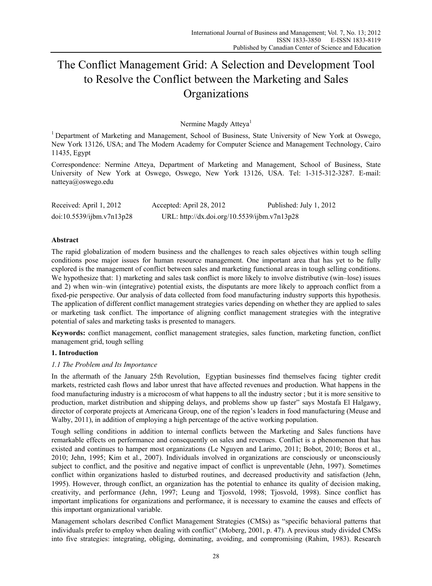# The Conflict Management Grid: A Selection and Development Tool to Resolve the Conflict between the Marketing and Sales **Organizations**

Nermine Magdy Atteva<sup>1</sup>

<sup>1</sup> Department of Marketing and Management, School of Business, State University of New York at Oswego, New York 13126, USA; and The Modern Academy for Computer Science and Management Technology, Cairo 11435, Egypt

Correspondence: Nermine Atteya, Department of Marketing and Management, School of Business, State University of New York at Oswego, Oswego, New York 13126, USA. Tel: 1-315-312-3287. E-mail: natteya@oswego.edu

| Received: April 1, 2012   | Accepted: April 28, 2012                     | Published: July 1, 2012 |
|---------------------------|----------------------------------------------|-------------------------|
| doi:10.5539/ijbm.v7n13p28 | URL: http://dx.doi.org/10.5539/ijbm.v7n13p28 |                         |

# **Abstract**

The rapid globalization of modern business and the challenges to reach sales objectives within tough selling conditions pose major issues for human resource management. One important area that has yet to be fully explored is the management of conflict between sales and marketing functional areas in tough selling conditions. We hypothesize that: 1) marketing and sales task conflict is more likely to involve distributive (win–lose) issues and 2) when win–win (integrative) potential exists, the disputants are more likely to approach conflict from a fixed-pie perspective. Our analysis of data collected from food manufacturing industry supports this hypothesis. The application of different conflict management strategies varies depending on whether they are applied to sales or marketing task conflict. The importance of aligning conflict management strategies with the integrative potential of sales and marketing tasks is presented to managers.

**Keywords:** conflict management, conflict management strategies, sales function, marketing function, conflict management grid, tough selling

# **1. Introduction**

# *1.1 The Problem and Its Importance*

In the aftermath of the January 25th Revolution, Egyptian businesses find themselves facing tighter credit markets, restricted cash flows and labor unrest that have affected revenues and production. What happens in the food manufacturing industry is a microcosm of what happens to all the industry sector ; but it is more sensitive to production, market distribution and shipping delays, and problems show up faster" says Mostafa El Halgawy, director of corporate projects at Americana Group, one of the region's leaders in food manufacturing (Meuse and Walby, 2011), in addition of employing a high percentage of the active working population.

Tough selling conditions in addition to internal conflicts between the Marketing and Sales functions have remarkable effects on performance and consequently on sales and revenues. Conflict is a phenomenon that has existed and continues to hamper most organizations (Le Nguyen and Larimo, 2011; Bobot, 2010; Boros et al., 2010; Jehn, 1995; Kim et al., 2007). Individuals involved in organizations are consciously or unconsciously subject to conflict, and the positive and negative impact of conflict is unpreventable (Jehn, 1997). Sometimes conflict within organizations hasled to disturbed routines, and decreased productivity and satisfaction (Jehn, 1995). However, through conflict, an organization has the potential to enhance its quality of decision making, creativity, and performance (Jehn, 1997; Leung and Tjosvold, 1998; Tjosvold, 1998). Since conflict has important implications for organizations and performance, it is necessary to examine the causes and effects of this important organizational variable.

Management scholars described Conflict Management Strategies (CMSs) as "specific behavioral patterns that individuals prefer to employ when dealing with conflict" (Moberg, 2001, p. 47). A previous study divided CMSs into five strategies: integrating, obliging, dominating, avoiding, and compromising (Rahim, 1983). Research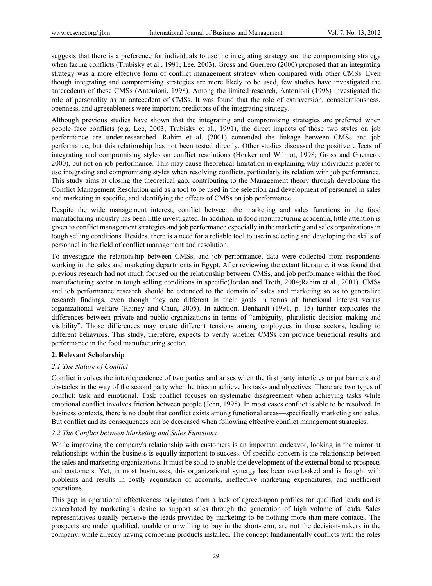suggests that there is a preference for individuals to use the integrating strategy and the compromising strategy when facing conflicts (Trubisky et al., 1991; Lee, 2003). Gross and Guerrero (2000) proposed that an integrating strategy was a more effective form of conflict management strategy when compared with other CMSs. Even though integrating and compromising strategies are more likely to be used, few studies have investigated the antecedents of these CMSs (Antonioni, 1998). Among the limited research, Antonioni (1998) investigated the role of personality as an antecedent of CMSs. It was found that the role of extraversion, conscientiousness, openness, and agreeableness were important predictors of the integrating strategy.

Although previous studies have shown that the integrating and compromising strategies are preferred when people face conflicts (e.g. Lee, 2003; Trubisky et al., 1991), the direct impacts of those two styles on job performance are under-researched. Rahim et al. (2001) contended the linkage between CMSs and job performance, but this relationship has not been tested directly. Other studies discussed the positive effects of integrating and compromising styles on conflict resolutions (Hocker and Wilmot, 1998; Gross and Guerrero, 2000), but not on job performance. This may cause theoretical limitation in explaining why individuals prefer to use integrating and compromising styles when resolving conflicts, particularly its relation with job performance. This study aims at closing the theoretical gap, contributing to the Management theory through developing the Conflict Management Resolution grid as a tool to be used in the selection and development of personnel in sales and marketing in specific, and identifying the effects of CMSs on job performance.

Despite the wide management interest, conflict between the marketing and sales functions in the food manufacturing industry has been little investigated. In addition, in food manufacturing academia, little attention is given to conflict management strategies and job performance especially in the marketing and sales organizations in tough selling conditions. Besides, there is a need for a reliable tool to use in selecting and developing the skills of personnel in the field of conflict management and resolution.

To investigate the relationship between CMSs, and job performance, data were collected from respondents working in the sales and marketing departments in Egypt. After reviewing the extant literature, it was found that previous research had not much focused on the relationship between CMSs, and job performance within the food manufacturing sector in tough selling conditions in specific(Jordan and Troth, 2004;Rahim et al., 2001). CMSs and job performance research should be extended to the domain of sales and marketing so as to generalize research findings, even though they are different in their goals in terms of functional interest versus organizational welfare (Rainey and Chun, 2005). In addition, Denhardt (1991, p. 15) further explicates the differences between private and public organizations in terms of "ambiguity, pluralistic decision making and visibility". Those differences may create different tensions among employees in those sectors, leading to different behaviors. This study, therefore, expects to verify whether CMSs can provide beneficial results and performance in the food manufacturing sector.

# **2. Relevant Scholarship**

# *2.1 The Nature of Conflict*

Conflict involves the interdependence of two parties and arises when the first party interferes or put barriers and obstacles in the way of the second party when he tries to achieve his tasks and objectives. There are two types of conflict: task and emotional. Task conflict focuses on systematic disagreement when achieving tasks while emotional conflict involves friction between people (Jehn, 1995). In most cases conflict is able to be resolved. In business contexts, there is no doubt that conflict exists among functional areas—specifically marketing and sales. But conflict and its consequences can be decreased when following effective conflict management strategies.

# *2.2 The Conflict between Marketing and Sales Functions*

While improving the company's relationship with customers is an important endeavor, looking in the mirror at relationships within the business is equally important to success. Of specific concern is the relationship between the sales and marketing organizations. It must be solid to enable the development of the external bond to prospects and customers. Yet, in most businesses, this organizational synergy has been overlooked and is fraught with problems and results in costly acquisition of accounts, ineffective marketing expenditures, and inefficient operations.

This gap in operational effectiveness originates from a lack of agreed-upon profiles for qualified leads and is exacerbated by marketing's desire to support sales through the generation of high volume of leads. Sales representatives usually perceive the leads provided by marketing to be nothing more than mere contacts. The prospects are under qualified, unable or unwilling to buy in the short-term, are not the decision-makers in the company, while already having competing products installed. The concept fundamentally conflicts with the roles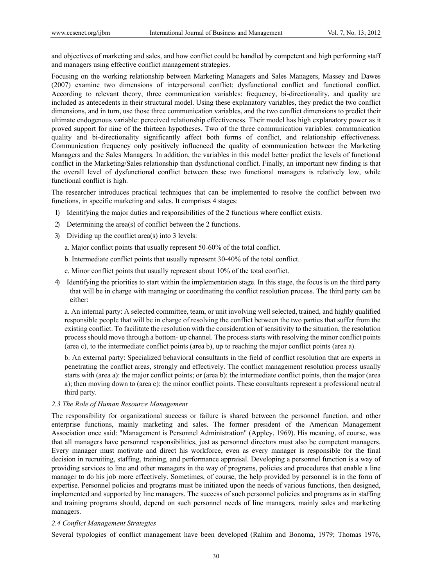and objectives of marketing and sales, and how conflict could be handled by competent and high performing staff and managers using effective conflict management strategies.

Focusing on the working relationship between Marketing Managers and Sales Managers, Massey and Dawes (2007) examine two dimensions of interpersonal conflict: dysfunctional conflict and functional conflict. According to relevant theory, three communication variables: frequency, bi-directionality, and quality are included as antecedents in their structural model. Using these explanatory variables, they predict the two conflict dimensions, and in turn, use those three communication variables, and the two conflict dimensions to predict their ultimate endogenous variable: perceived relationship effectiveness. Their model has high explanatory power as it proved support for nine of the thirteen hypotheses. Two of the three communication variables: communication quality and bi-directionality significantly affect both forms of conflict, and relationship effectiveness. Communication frequency only positively influenced the quality of communication between the Marketing Managers and the Sales Managers. In addition, the variables in this model better predict the levels of functional conflict in the Marketing/Sales relationship than dysfunctional conflict. Finally, an important new finding is that the overall level of dysfunctional conflict between these two functional managers is relatively low, while functional conflict is high.

The researcher introduces practical techniques that can be implemented to resolve the conflict between two functions, in specific marketing and sales. It comprises 4 stages:

- 1) Identifying the major duties and responsibilities of the 2 functions where conflict exists.
- 2) Determining the area(s) of conflict between the 2 functions.
- 3) Dividing up the conflict area(s) into 3 levels:
	- a. Major conflict points that usually represent 50-60% of the total conflict.
	- b. Intermediate conflict points that usually represent 30-40% of the total conflict.
	- c. Minor conflict points that usually represent about 10% of the total conflict.
- 4) Identifying the priorities to start within the implementation stage. In this stage, the focus is on the third party that will be in charge with managing or coordinating the conflict resolution process. The third party can be either:

a. An internal party: A selected committee, team, or unit involving well selected, trained, and highly qualified responsible people that will be in charge of resolving the conflict between the two parties that suffer from the existing conflict. To facilitate the resolution with the consideration of sensitivity to the situation, the resolution process should move through a bottom- up channel. The process starts with resolving the minor conflict points (area c), to the intermediate conflict points (area b), up to reaching the major conflict points (area a).

b. An external party: Specialized behavioral consultants in the field of conflict resolution that are experts in penetrating the conflict areas, strongly and effectively. The conflict management resolution process usually starts with (area a): the major conflict points; or (area b): the intermediate conflict points, then the major (area a); then moving down to (area c): the minor conflict points. These consultants represent a professional neutral third party.

## *2.3 The Role of Human Resource Management*

The responsibility for organizational success or failure is shared between the personnel function, and other enterprise functions, mainly marketing and sales. The former president of the American Management Association once said: "Management is Personnel Administration" (Appley, 1969). His meaning, of course, was that all managers have personnel responsibilities, just as personnel directors must also be competent managers. Every manager must motivate and direct his workforce, even as every manager is responsible for the final decision in recruiting, staffing, training, and performance appraisal. Developing a personnel function is a way of providing services to line and other managers in the way of programs, policies and procedures that enable a line manager to do his job more effectively. Sometimes, of course, the help provided by personnel is in the form of expertise. Personnel policies and programs must be initiated upon the needs of various functions, then designed, implemented and supported by line managers. The success of such personnel policies and programs as in staffing and training programs should, depend on such personnel needs of line managers, mainly sales and marketing managers.

### *2.4 Conflict Management Strategies*

Several typologies of conflict management have been developed (Rahim and Bonoma, 1979; Thomas 1976,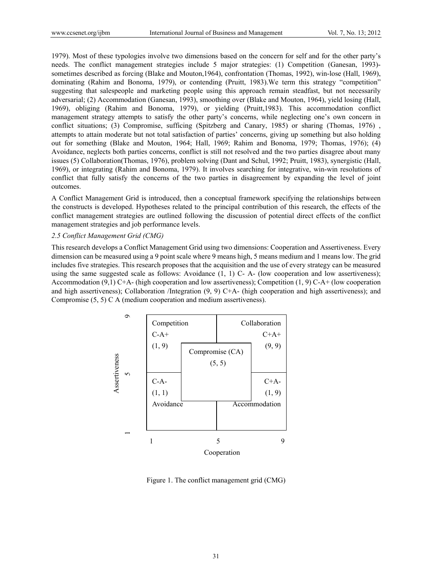1979). Most of these typologies involve two dimensions based on the concern for self and for the other party's needs. The conflict management strategies include 5 major strategies: (1) Competition (Ganesan, 1993) sometimes described as forcing (Blake and Mouton,1964), confrontation (Thomas, 1992), win-lose (Hall, 1969), dominating (Rahim and Bonoma, 1979), or contending (Pruitt, 1983).We term this strategy "competition" suggesting that salespeople and marketing people using this approach remain steadfast, but not necessarily adversarial; (2) Accommodation (Ganesan, 1993), smoothing over (Blake and Mouton, 1964), yield losing (Hall, 1969), obliging (Rahim and Bonoma, 1979), or yielding (Pruitt,1983). This accommodation conflict management strategy attempts to satisfy the other party's concerns, while neglecting one's own concern in conflict situations; (3) Compromise, sufficing (Spitzberg and Canary, 1985) or sharing (Thomas, 1976) , attempts to attain moderate but not total satisfaction of parties' concerns, giving up something but also holding out for something (Blake and Mouton, 1964; Hall, 1969; Rahim and Bonoma, 1979; Thomas, 1976); (4) Avoidance, neglects both parties concerns, conflict is still not resolved and the two parties disagree about many issues (5) Collaboration(Thomas, 1976), problem solving (Dant and Schul, 1992; Pruitt, 1983), synergistic (Hall, 1969), or integrating (Rahim and Bonoma, 1979). It involves searching for integrative, win-win resolutions of conflict that fully satisfy the concerns of the two parties in disagreement by expanding the level of joint outcomes.

A Conflict Management Grid is introduced, then a conceptual framework specifying the relationships between the constructs is developed. Hypotheses related to the principal contribution of this research, the effects of the conflict management strategies are outlined following the discussion of potential direct effects of the conflict management strategies and job performance levels.

# *2.5 Conflict Management Grid (CMG)*

This research develops a Conflict Management Grid using two dimensions: Cooperation and Assertiveness. Every dimension can be measured using a 9 point scale where 9 means high, 5 means medium and 1 means low. The grid includes five strategies. This research proposes that the acquisition and the use of every strategy can be measured using the same suggested scale as follows: Avoidance (1, 1) C- A- (low cooperation and low assertiveness); Accommodation (9,1) C+A- (high cooperation and low assertiveness); Competition (1, 9) C-A+ (low cooperation and high assertiveness); Collaboration /Integration (9, 9) C+A- (high cooperation and high assertiveness); and Compromise (5, 5) C A (medium cooperation and medium assertiveness).



Figure 1. The conflict management grid (CMG)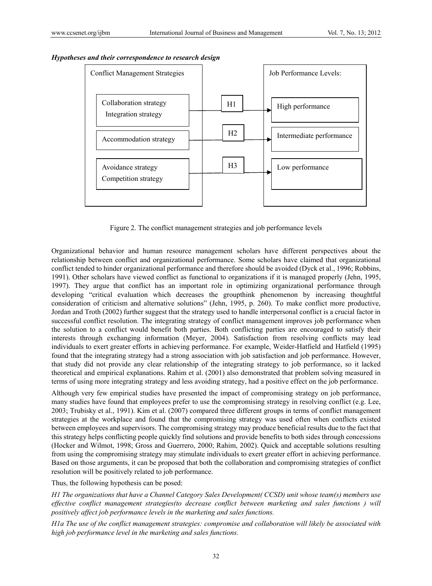

# *Hypotheses and their correspondence to research design*

Figure 2. The conflict management strategies and job performance levels

Organizational behavior and human resource management scholars have different perspectives about the relationship between conflict and organizational performance. Some scholars have claimed that organizational conflict tended to hinder organizational performance and therefore should be avoided (Dyck et al., 1996; Robbins, 1991). Other scholars have viewed conflict as functional to organizations if it is managed properly (Jehn, 1995, 1997). They argue that conflict has an important role in optimizing organizational performance through developing "critical evaluation which decreases the groupthink phenomenon by increasing thoughtful consideration of criticism and alternative solutions" (Jehn, 1995, p. 260). To make conflict more productive, Jordan and Troth (2002) further suggest that the strategy used to handle interpersonal conflict is a crucial factor in successful conflict resolution. The integrating strategy of conflict management improves job performance when the solution to a conflict would benefit both parties. Both conflicting parties are encouraged to satisfy their interests through exchanging information (Meyer, 2004). Satisfaction from resolving conflicts may lead individuals to exert greater efforts in achieving performance. For example, Weider-Hatfield and Hatfield (1995) found that the integrating strategy had a strong association with job satisfaction and job performance. However, that study did not provide any clear relationship of the integrating strategy to job performance, so it lacked theoretical and empirical explanations. Rahim et al. (2001) also demonstrated that problem solving measured in terms of using more integrating strategy and less avoiding strategy, had a positive effect on the job performance.

Although very few empirical studies have presented the impact of compromising strategy on job performance, many studies have found that employees prefer to use the compromising strategy in resolving conflict (e.g. Lee, 2003; Trubisky et al., 1991). Kim et al. (2007) compared three different groups in terms of conflict management strategies at the workplace and found that the compromising strategy was used often when conflicts existed between employees and supervisors. The compromising strategy may produce beneficial results due to the fact that this strategy helps conflicting people quickly find solutions and provide benefits to both sides through concessions (Hocker and Wilmot, 1998; Gross and Guerrero, 2000; Rahim, 2002). Quick and acceptable solutions resulting from using the compromising strategy may stimulate individuals to exert greater effort in achieving performance. Based on those arguments, it can be proposed that both the collaboration and compromising strategies of conflict resolution will be positively related to job performance.

Thus, the following hypothesis can be posed:

*H1 The organizations that have a Channel Category Sales Development( CCSD) unit whose team(s) members use effective conflict management strategies(to decrease conflict between marketing and sales functions ) will positively affect job performance levels in the marketing and sales functions.* 

*H1a The use of the conflict management strategies: compromise and collaboration will likely be associated with high job performance level in the marketing and sales functions.*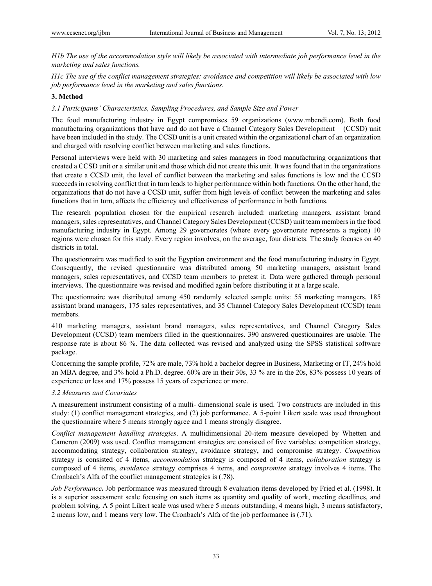*H1b The use of the accommodation style will likely be associated with intermediate job performance level in the marketing and sales functions.*

*H1c The use of the conflict management strategies: avoidance and competition will likely be associated with low job performance level in the marketing and sales functions.*

# **3. Method**

### *3.1 Participants' Characteristics, Sampling Procedures, and Sample Size and Power*

The food manufacturing industry in Egypt compromises 59 organizations (www.mbendi.com). Both food manufacturing organizations that have and do not have a Channel Category Sales Development (CCSD) unit have been included in the study. The CCSD unit is a unit created within the organizational chart of an organization and charged with resolving conflict between marketing and sales functions.

Personal interviews were held with 30 marketing and sales managers in food manufacturing organizations that created a CCSD unit or a similar unit and those which did not create this unit. It was found that in the organizations that create a CCSD unit, the level of conflict between the marketing and sales functions is low and the CCSD succeeds in resolving conflict that in turn leads to higher performance within both functions. On the other hand, the organizations that do not have a CCSD unit, suffer from high levels of conflict between the marketing and sales functions that in turn, affects the efficiency and effectiveness of performance in both functions.

The research population chosen for the empirical research included: marketing managers, assistant brand managers, sales representatives, and Channel Category Sales Development (CCSD) unit team members in the food manufacturing industry in Egypt. Among 29 governorates (where every governorate represents a region) 10 regions were chosen for this study. Every region involves, on the average, four districts. The study focuses on 40 districts in total.

The questionnaire was modified to suit the Egyptian environment and the food manufacturing industry in Egypt. Consequently, the revised questionnaire was distributed among 50 marketing managers, assistant brand managers, sales representatives, and CCSD team members to pretest it. Data were gathered through personal interviews. The questionnaire was revised and modified again before distributing it at a large scale.

The questionnaire was distributed among 450 randomly selected sample units: 55 marketing managers, 185 assistant brand managers, 175 sales representatives, and 35 Channel Category Sales Development (CCSD) team members.

410 marketing managers, assistant brand managers, sales representatives, and Channel Category Sales Development (CCSD) team members filled in the questionnaires. 390 answered questionnaires are usable. The response rate is about 86 %. The data collected was revised and analyzed using the SPSS statistical software package.

Concerning the sample profile, 72% are male, 73% hold a bachelor degree in Business, Marketing or IT, 24% hold an MBA degree, and 3% hold a Ph.D. degree. 60% are in their 30s, 33 % are in the 20s, 83% possess 10 years of experience or less and 17% possess 15 years of experience or more.

# *3.2 Measures and Covariates*

A measurement instrument consisting of a multi- dimensional scale is used. Two constructs are included in this study: (1) conflict management strategies, and (2) job performance. A 5-point Likert scale was used throughout the questionnaire where 5 means strongly agree and 1 means strongly disagree.

*Conflict management handling strategies*. A multidimensional 20-item measure developed by Whetten and Cameron (2009) was used. Conflict management strategies are consisted of five variables: competition strategy, accommodating strategy, collaboration strategy, avoidance strategy, and compromise strategy. *Competition*  strategy is consisted of 4 items, *accommodation* strategy is composed of 4 items, *collaboration* strategy is composed of 4 items, *avoidance* strategy comprises 4 items, and *compromise* strategy involves 4 items. The Cronbach's Alfa of the conflict management strategies is (.78).

*Job Performance***.** Job performance was measured through 8 evaluation items developed by Fried et al. (1998). It is a superior assessment scale focusing on such items as quantity and quality of work, meeting deadlines, and problem solving. A 5 point Likert scale was used where 5 means outstanding, 4 means high, 3 means satisfactory, 2 means low, and 1 means very low. The Cronbach's Alfa of the job performance is (.71).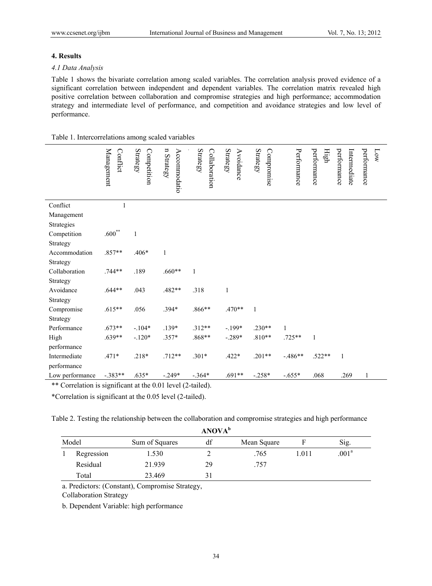# **4. Results**

### *4.1 Data Analysis*

Table 1 shows the bivariate correlation among scaled variables. The correlation analysis proved evidence of a significant correlation between independent and dependent variables. The correlation matrix revealed high positive correlation between collaboration and compromise strategies and high performance; accommodation strategy and intermediate level of performance, and competition and avoidance strategies and low level of performance.

| Table 1. Intercorrelations among scaled variables |
|---------------------------------------------------|
|---------------------------------------------------|

|                 | Management<br>Conflict | <b>Strategy</b><br>Competition | n Strategy<br>Accommodatio | <b>Strategy</b><br>Collaboration | <b>Strategy</b><br>Avoidance | <b>Strategy</b><br>Compromise | Performance | performance<br>High | performance<br>Intermediate | performance<br>Low |
|-----------------|------------------------|--------------------------------|----------------------------|----------------------------------|------------------------------|-------------------------------|-------------|---------------------|-----------------------------|--------------------|
| Conflict        | 1                      |                                |                            |                                  |                              |                               |             |                     |                             |                    |
| Management      |                        |                                |                            |                                  |                              |                               |             |                     |                             |                    |
| Strategies      |                        |                                |                            |                                  |                              |                               |             |                     |                             |                    |
| Competition     | $.600**$               | $\mathbf{1}$                   |                            |                                  |                              |                               |             |                     |                             |                    |
| Strategy        |                        |                                |                            |                                  |                              |                               |             |                     |                             |                    |
| Accommodation   | .857**                 | .406*                          | $\mathbf{1}$               |                                  |                              |                               |             |                     |                             |                    |
| Strategy        |                        |                                |                            |                                  |                              |                               |             |                     |                             |                    |
| Collaboration   | $.744**$               | .189                           | $.660**$                   | $\mathbf{1}$                     |                              |                               |             |                     |                             |                    |
| Strategy        |                        |                                |                            |                                  |                              |                               |             |                     |                             |                    |
| Avoidance       | $.644**$               | .043                           | .482**                     | .318                             | $\mathbf{1}$                 |                               |             |                     |                             |                    |
| Strategy        |                        |                                |                            |                                  |                              |                               |             |                     |                             |                    |
| Compromise      | $.615**$               | .056                           | .394*                      | $.866**$                         | .470**                       | $\mathbf{1}$                  |             |                     |                             |                    |
| Strategy        |                        |                                |                            |                                  |                              |                               |             |                     |                             |                    |
| Performance     | $.673**$               | $-.104*$                       | .139*                      | $.312**$                         | $-.199*$                     | $.230**$                      | 1           |                     |                             |                    |
| High            | $.639**$               | $-.120*$                       | $.357*$                    | .868**                           | $-.289*$                     | $.810**$                      | .725**      | $\mathbf{1}$        |                             |                    |
| performance     |                        |                                |                            |                                  |                              |                               |             |                     |                             |                    |
| Intermediate    | $.471*$                | $.218*$                        | $.712**$                   | $.301*$                          | $.422*$                      | $.201**$                      | $-.486**$   | $.522**$            | $\mathbf{1}$                |                    |
| performance     |                        |                                |                            |                                  |                              |                               |             |                     |                             |                    |
| Low performance | $-.383**$              | $.635*$                        | $-.249*$                   | $-.364*$                         | $.691**$                     | $-.258*$                      | $-.655*$    | .068                | .269                        | 1                  |

\*\* Correlation is significant at the 0.01 level (2-tailed).

\*Correlation is significant at the 0.05 level (2-tailed).

Table 2. Testing the relationship between the collaboration and compromise strategies and high performance

|       | <b>ANOVA</b> <sup>b</sup> |                |                   |      |       |                   |  |  |  |  |
|-------|---------------------------|----------------|-------------------|------|-------|-------------------|--|--|--|--|
| Model |                           | Sum of Squares | df<br>Mean Square |      |       | Sig.              |  |  |  |  |
|       | Regression                | 1.530          |                   | .765 | 1.011 | .001 <sup>a</sup> |  |  |  |  |
|       | Residual                  | 21.939         | 29                | .757 |       |                   |  |  |  |  |
|       | Total                     | 23.469         | 31                |      |       |                   |  |  |  |  |

a. Predictors: (Constant), Compromise Strategy,

Collaboration Strategy

b. Dependent Variable: high performance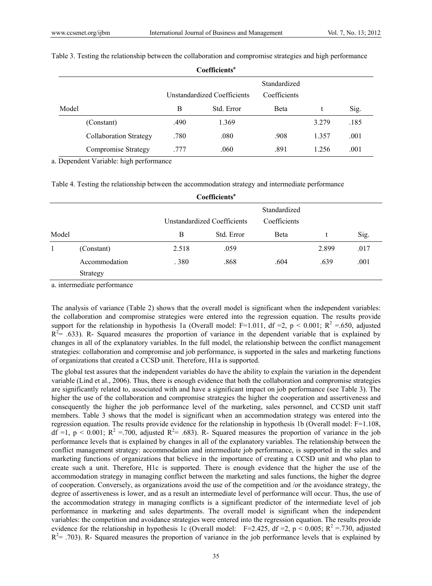$\sim$   $\omega$   $\sim$   $\omega$   $\approx$ 

|       | Coemicients                   |      |                             |                              |       |      |  |
|-------|-------------------------------|------|-----------------------------|------------------------------|-------|------|--|
|       |                               |      | Unstandardized Coefficients | Standardized<br>Coefficients |       |      |  |
| Model |                               | B    | Std. Error                  | <b>B</b> eta                 |       | Sig. |  |
|       | (Constant)                    | .490 | 1.369                       |                              | 3.279 | .185 |  |
|       | <b>Collaboration Strategy</b> | .780 | .080                        | .908                         | 1.357 | .001 |  |
|       | Compromise Strategy           | .777 | .060                        | .891                         | 1.256 | .001 |  |

Table 3. Testing the relationship between the collaboration and compromise strategies and high performance

a. Dependent Variable: high performance

| Table 4. Testing the relationship between the accommodation strategy and intermediate performance |  |
|---------------------------------------------------------------------------------------------------|--|
|                                                                                                   |  |

| Coefficients <sup>a</sup> |               |                                                             |            |              |       |      |  |  |  |
|---------------------------|---------------|-------------------------------------------------------------|------------|--------------|-------|------|--|--|--|
|                           |               | Standardized<br>Coefficients<br>Unstandardized Coefficients |            |              |       |      |  |  |  |
| Model                     |               | В                                                           | Std. Error | <b>B</b> eta |       | Sig. |  |  |  |
|                           | (Constant)    | 2.518                                                       | .059       |              | 2.899 | .017 |  |  |  |
|                           | Accommodation | .380                                                        | .868       | .604         | .639  | .001 |  |  |  |
|                           | Strategy      |                                                             |            |              |       |      |  |  |  |
|                           |               |                                                             |            |              |       |      |  |  |  |

a. intermediate performance

The analysis of variance (Table 2) shows that the overall model is significant when the independent variables: the collaboration and compromise strategies were entered into the regression equation. The results provide support for the relationship in hypothesis 1a (Overall model: F=1.011, df =2, p < 0.001; R<sup>2</sup> = 650, adjusted  $R^2 = 0.633$ ). R- Squared measures the proportion of variance in the dependent variable that is explained by changes in all of the explanatory variables. In the full model, the relationship between the conflict management strategies: collaboration and compromise and job performance, is supported in the sales and marketing functions of organizations that created a CCSD unit. Therefore, H1a is supported.

The global test assures that the independent variables do have the ability to explain the variation in the dependent variable (Lind et al., 2006). Thus, there is enough evidence that both the collaboration and compromise strategies are significantly related to, associated with and have a significant impact on job performance (see Table 3). The higher the use of the collaboration and compromise strategies the higher the cooperation and assertiveness and consequently the higher the job performance level of the marketing, sales personnel, and CCSD unit staff members. Table 3 shows that the model is significant when an accommodation strategy was entered into the regression equation. The results provide evidence for the relationship in hypothesis 1b (Overall model: F=1.108, df =1, p < 0.001;  $R^2 = 700$ , adjusted  $R^2 = 0.683$ . R- Squared measures the proportion of variance in the job performance levels that is explained by changes in all of the explanatory variables. The relationship between the conflict management strategy: accommodation and intermediate job performance, is supported in the sales and marketing functions of organizations that believe in the importance of creating a CCSD unit and who plan to create such a unit. Therefore, H1c is supported. There is enough evidence that the higher the use of the accommodation strategy in managing conflict between the marketing and sales functions, the higher the degree of cooperation. Conversely, as organizations avoid the use of the competition and /or the avoidance strategy, the degree of assertiveness is lower, and as a result an intermediate level of performance will occur. Thus, the use of the accommodation strategy in managing conflicts is a significant predictor of the intermediate level of job performance in marketing and sales departments. The overall model is significant when the independent variables: the competition and avoidance strategies were entered into the regression equation. The results provide evidence for the relationship in hypothesis 1c (Overall model: F=2.425, df =2, p < 0.005; R<sup>2</sup> = 730, adjusted  $R<sup>2</sup> = .703$ ). R- Squared measures the proportion of variance in the job performance levels that is explained by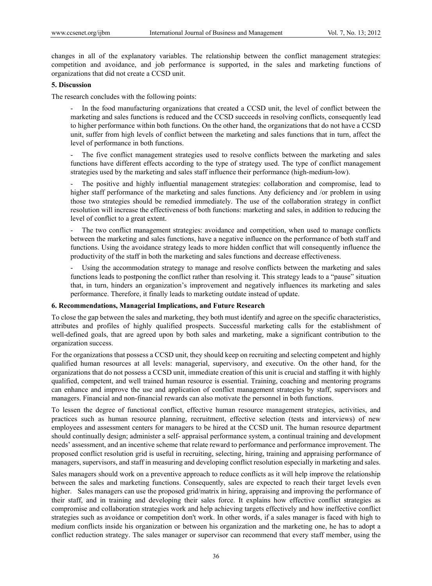changes in all of the explanatory variables. The relationship between the conflict management strategies: competition and avoidance, and job performance is supported, in the sales and marketing functions of organizations that did not create a CCSD unit.

## **5. Discussion**

The research concludes with the following points:

In the food manufacturing organizations that created a CCSD unit, the level of conflict between the marketing and sales functions is reduced and the CCSD succeeds in resolving conflicts, consequently lead to higher performance within both functions. On the other hand, the organizations that do not have a CCSD unit, suffer from high levels of conflict between the marketing and sales functions that in turn, affect the level of performance in both functions.

The five conflict management strategies used to resolve conflicts between the marketing and sales functions have different effects according to the type of strategy used. The type of conflict management strategies used by the marketing and sales staff influence their performance (high-medium-low).

- The positive and highly influential management strategies: collaboration and compromise, lead to higher staff performance of the marketing and sales functions. Any deficiency and /or problem in using those two strategies should be remedied immediately. The use of the collaboration strategy in conflict resolution will increase the effectiveness of both functions: marketing and sales, in addition to reducing the level of conflict to a great extent.

The two conflict management strategies: avoidance and competition, when used to manage conflicts between the marketing and sales functions, have a negative influence on the performance of both staff and functions. Using the avoidance strategy leads to more hidden conflict that will consequently influence the productivity of the staff in both the marketing and sales functions and decrease effectiveness.

Using the accommodation strategy to manage and resolve conflicts between the marketing and sales functions leads to postponing the conflict rather than resolving it. This strategy leads to a "pause" situation that, in turn, hinders an organization's improvement and negatively influences its marketing and sales performance. Therefore, it finally leads to marketing outdate instead of update.

## **6. Recommendations, Managerial Implications, and Future Research**

To close the gap between the sales and marketing, they both must identify and agree on the specific characteristics, attributes and profiles of highly qualified prospects. Successful marketing calls for the establishment of well-defined goals, that are agreed upon by both sales and marketing, make a significant contribution to the organization success.

For the organizations that possess a CCSD unit, they should keep on recruiting and selecting competent and highly qualified human resources at all levels: managerial, supervisory, and executive. On the other hand, for the organizations that do not possess a CCSD unit, immediate creation of this unit is crucial and staffing it with highly qualified, competent, and well trained human resource is essential. Training, coaching and mentoring programs can enhance and improve the use and application of conflict management strategies by staff, supervisors and managers. Financial and non-financial rewards can also motivate the personnel in both functions.

To lessen the degree of functional conflict, effective human resource management strategies, activities, and practices such as human resource planning, recruitment, effective selection (tests and interviews) of new employees and assessment centers for managers to be hired at the CCSD unit. The human resource department should continually design; administer a self- appraisal performance system, a continual training and development needs' assessment, and an incentive scheme that relate reward to performance and performance improvement. The proposed conflict resolution grid is useful in recruiting, selecting, hiring, training and appraising performance of managers, supervisors, and staff in measuring and developing conflict resolution especially in marketing and sales.

Sales managers should work on a preventive approach to reduce conflicts as it will help improve the relationship between the sales and marketing functions. Consequently, sales are expected to reach their target levels even higher. Sales managers can use the proposed grid/matrix in hiring, appraising and improving the performance of their staff, and in training and developing their sales force. It explains how effective conflict strategies as compromise and collaboration strategies work and help achieving targets effectively and how ineffective conflict strategies such as avoidance or competition don't work. In other words, if a sales manager is faced with high to medium conflicts inside his organization or between his organization and the marketing one, he has to adopt a conflict reduction strategy. The sales manager or supervisor can recommend that every staff member, using the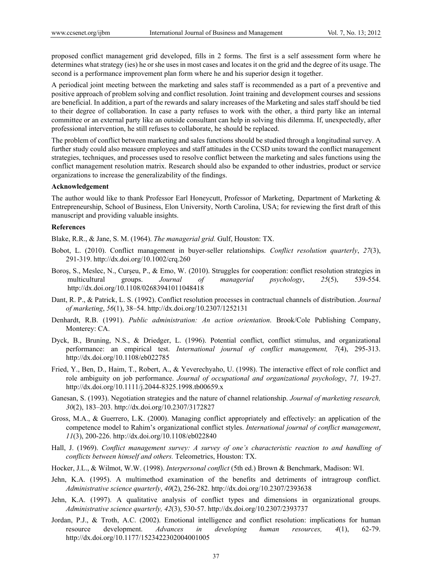proposed conflict management grid developed, fills in 2 forms. The first is a self assessment form where he determines what strategy (ies) he or she uses in most cases and locates it on the grid and the degree of its usage. The second is a performance improvement plan form where he and his superior design it together.

A periodical joint meeting between the marketing and sales staff is recommended as a part of a preventive and positive approach of problem solving and conflict resolution. Joint training and development courses and sessions are beneficial. In addition, a part of the rewards and salary increases of the Marketing and sales staff should be tied to their degree of collaboration. In case a party refuses to work with the other, a third party like an internal committee or an external party like an outside consultant can help in solving this dilemma. If, unexpectedly, after professional intervention, he still refuses to collaborate, he should be replaced.

The problem of conflict between marketing and sales functions should be studied through a longitudinal survey. A further study could also measure employees and staff attitudes in the CCSD units toward the conflict management strategies, techniques, and processes used to resolve conflict between the marketing and sales functions using the conflict management resolution matrix. Research should also be expanded to other industries, product or service organizations to increase the generalizability of the findings.

#### **Acknowledgement**

The author would like to thank Professor Earl Honeycutt, Professor of Marketing, Department of Marketing & Entrepreneurship, School of Business, Elon University, North Carolina, USA; for reviewing the first draft of this manuscript and providing valuable insights.

# **References**

Blake, R.R., & Jane, S. M. (1964). *The managerial grid.* Gulf, Houston: TX.

- Bobot, L. (2010). Conflict management in buyer-seller relationships. *Conflict resolution quarterly*, *27*(3), 291-319. http://dx.doi.org/10.1002/crq.260
- Boroş, S., Meslec, N., Curşeu, P., & Emo, W. (2010). Struggles for cooperation: conflict resolution strategies in multicultural groups. *Journal of managerial psychology*, *25*(5), 539-554. http://dx.doi.org/10.1108/02683941011048418
- Dant, R. P., & Patrick, L. S. (1992). Conflict resolution processes in contractual channels of distribution. *Journal of marketing*, *56*(1), 38–54. http://dx.doi.org/10.2307/1252131
- Denhardt, R.B. (1991). *Public administration: An action orientation*. Brook/Cole Publishing Company, Monterey: CA.
- Dyck, B., Bruning, N.S., & Driedger, L. (1996). Potential conflict, conflict stimulus, and organizational performance: an empirical test. *International journal of conflict management, 7*(4), 295-313. http://dx.doi.org/10.1108/eb022785
- Fried, Y., Ben, D., Haim, T., Robert, A., & Yeverechyaho, U. (1998). The interactive effect of role conflict and role ambiguity on job performance. *Journal of occupational and organizational psychology*, *71,* 19-27. http://dx.doi.org/10.1111/j.2044-8325.1998.tb00659.x
- Ganesan, S. (1993). Negotiation strategies and the nature of channel relationship. *Journal of marketing research, 30*(2), 183–203. http://dx.doi.org/10.2307/3172827
- Gross, M.A., & Guerrero, L.K. (2000). Managing conflict appropriately and effectively: an application of the competence model to Rahim's organizational conflict styles. *International journal of conflict management*, *11*(3), 200-226. http://dx.doi.org/10.1108/eb022840
- Hall, J. (1969). *Conflict management survey: A survey of one's characteristic reaction to and handling of conflicts between himself and others.* Teleometrics, Houston: TX.
- Hocker, J.L., & Wilmot, W.W. (1998). *Interpersonal conflict* (5th ed.) Brown & Benchmark, Madison: WI.
- Jehn, K.A. (1995). A multimethod examination of the benefits and detriments of intragroup conflict. *Administrative science quarterly*, *40*(2), 256-282. http://dx.doi.org/10.2307/2393638
- Jehn, K.A. (1997). A qualitative analysis of conflict types and dimensions in organizational groups. *Administrative science quarterly, 42*(3), 530-57. http://dx.doi.org/10.2307/2393737
- Jordan, P.J., & Troth, A.C. (2002). Emotional intelligence and conflict resolution: implications for human resource development. *Advances in developing human resources, 4*(1), 62-79. http://dx.doi.org/10.1177/1523422302004001005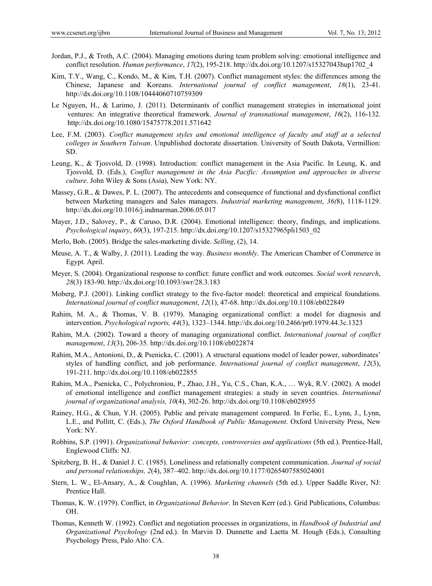- Jordan, P.J., & Troth, A.C. (2004). Managing emotions during team problem solving: emotional intelligence and conflict resolution. *Human performance*, *17*(2), 195-218. http://dx.doi.org/10.1207/s15327043hup1702\_4
- Kim, T.Y., Wang, C., Kondo, M., & Kim, T.H. (2007). Conflict management styles: the differences among the Chinese, Japanese and Koreans. *International journal of conflict management*, *18*(1), 23-41. http://dx.doi.org/10.1108/10444060710759309
- Le Nguyen, H., & Larimo, J. (2011). Determinants of conflict management strategies in international joint ventures: An integrative theoretical framework. *Journal of transnational management*, *16*(2), 116-132. http://dx.doi.org/10.1080/15475778.2011.571642
- Lee, F.M. (2003). *Conflict management styles and emotional intelligence of faculty and staff at a selected colleges in Southern Taiwan*. Unpublished doctorate dissertation. University of South Dakota, Vermillion: SD.
- Leung, K., & Tjosvold, D. (1998). Introduction: conflict management in the Asia Pacific. In Leung, K. and Tjosvold, D. (Eds.), *Conflict management in the Asia Pacific: Assumption and approaches in diverse culture*. John Wiley & Sons (Asia), New York: NY.
- Massey, G.R., & Dawes, P. L. (2007). The antecedents and consequence of functional and dysfunctional conflict between Marketing managers and Sales managers. *Industrial marketing management*, *36(*8), 1118-1129. http://dx.doi.org/10.1016/j.indmarman.2006.05.017
- Mayer, J.D., Salovey, P., & Caruso, D.R. (2004). Emotional intelligence: theory, findings, and implications. *Psychological inquiry*, *60*(3), 197-215. http://dx.doi.org/10.1207/s15327965pli1503\_02
- Merlo, Bob. (2005). Bridge the sales-marketing divide. *Selling*, (2), 14.
- Meuse, A. T., & Walby, J. (2011). Leading the way. *Business monthly*. The American Chamber of Commerce in Egypt. April.
- Meyer, S. (2004). Organizational response to conflict: future conflict and work outcomes. *Social work research*, *28*(3) 183-90. http://dx.doi.org/10.1093/swr/28.3.183
- Moberg, P.J. (2001). Linking conflict strategy to the five-factor model: theoretical and empirical foundations. *International journal of conflict management*, *12*(1), 47-68. http://dx.doi.org/10.1108/eb022849
- Rahim, M. A., & Thomas, V. B. (1979). Managing organizational conflict: a model for diagnosis and intervention. *Psychological reports, 44*(3), 1323–1344. http://dx.doi.org/10.2466/pr0.1979.44.3c.1323
- Rahim, M.A. (2002). Toward a theory of managing organizational conflict. *International journal of conflict management*, *13*(3), 206-35. http://dx.doi.org/10.1108/eb022874
- Rahim, M.A., Antonioni, D., & Psenicka, C. (2001). A structural equations model of leader power, subordinates' styles of handling conflict, and job performance. *International journal of conflict management*, *12*(3), 191-211. http://dx.doi.org/10.1108/eb022855
- Rahim, M.A., Psenicka, C., Polychroniou, P., Zhao, J.H., Yu, C.S., Chan, K.A., … Wyk, R.V. (2002). A model of emotional intelligence and conflict management strategies: a study in seven countries. *International journal of organizational analysis, 10*(4), 302-26. http://dx.doi.org/10.1108/eb028955
- Rainey, H.G., & Chun, Y.H. (2005). Public and private management compared. In Ferlie, E., Lynn, J., Lynn, L.E., and Pollitt, C. (Eds.), *The Oxford Handbook of Public Management*. Oxford University Press, New York: NY.
- Robbins, S.P. (1991). *Organizational behavior: concepts, controversies and applications* (5th ed.). Prentice-Hall, Englewood Cliffs: NJ.
- Spitzberg, B. H., & Daniel J. C. (1985). Loneliness and relationally competent communication. *Journal of social and personal relationships, 2*(4), 387–402. http://dx.doi.org/10.1177/0265407585024001
- Stern, L. W., El-Ansary, A., & Coughlan, A. (1996). *Marketing channels* (5th ed.). Upper Saddle River, NJ: Prentice Hall.
- Thomas, K. W. (1979). Conflict, in *Organizational Behavior.* In Steven Kerr (ed.). Grid Publications, Columbus: OH.
- Thomas, Kenneth W. (1992). Conflict and negotiation processes in organizations, in *Handbook of Industrial and Organizational Psychology* (2nd ed.). In Marvin D. Dunnette and Laetta M. Hough (Eds.), Consulting Psychology Press, Palo Alto: CA.